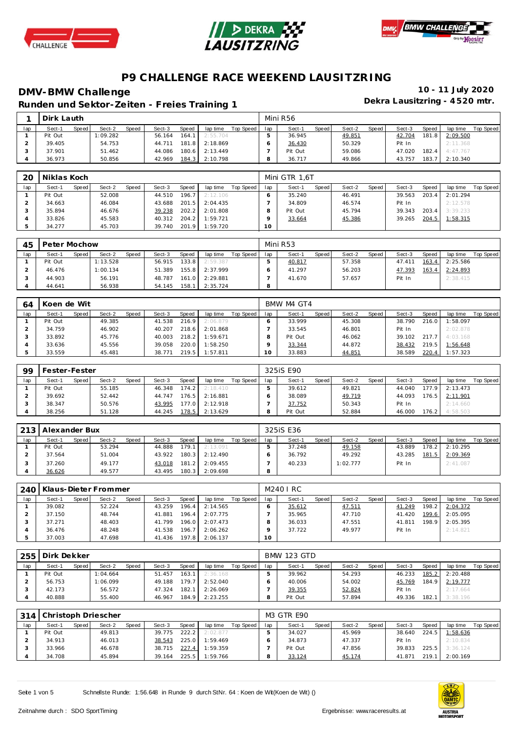





**Dekra Lausitzring - 4 520 mtr. Runden und Sektor-Ze iten - Freies Training 1**

|     | Dirk Lauth |         |          |              |        |              |          |           |     | Mini R56 |       |        |         |        |       |          |           |
|-----|------------|---------|----------|--------------|--------|--------------|----------|-----------|-----|----------|-------|--------|---------|--------|-------|----------|-----------|
| lap | Sect-1     | Speed I | Sect-2   | <b>Speed</b> | Sect-3 | <b>Speed</b> | lap time | Top Speed | lap | Sect-1   | Speed | Sect-2 | Speed I | Sect-3 | Speed | lap time | Top Speed |
|     | Pit Out    |         | 1:09.282 |              | 56.164 | 164.1        | 2:55.704 |           |     | 36.945   |       | 49.851 |         | 42.704 | 181.8 | 2:09.500 |           |
|     | 39.405     |         | 54.753   |              | 44.711 | 181.8        | 2:18.869 |           |     | 36.430   |       | 50.329 |         | Pit In |       | 2:11.368 |           |
|     | 37.901     |         | 51.462   |              | 44.086 | 180.6        | 2:13.449 |           |     | Pit Out  |       | 59.086 |         | 47.020 | 182.4 | 4:47.767 |           |
|     | 36.973     |         | 50.856   |              | 42.969 | 184.3        | 2:10.798 |           |     | 36.717   |       | 49.866 |         | 43.757 | 183.7 | 2:10.340 |           |

| 20  | Niklas Koch |       |        |              |        |       |          |           |     | Mini GTR 1.6T |       |        |       |        |       |          |           |
|-----|-------------|-------|--------|--------------|--------|-------|----------|-----------|-----|---------------|-------|--------|-------|--------|-------|----------|-----------|
| lap | Sect-1      | Speed | Sect-2 | <b>Speed</b> | Sect-3 | Speed | lap time | Top Speed | lap | Sect-1        | Speed | Sect-2 | Speed | Sect-3 | Speed | lap time | Top Speed |
|     | Pit Out     |       | 52.008 |              | 44.510 | 196.7 | 2:12.106 |           |     | 35.240        |       | 46.491 |       | 39.563 | 203.4 | 2:01.294 |           |
|     | 34.663      |       | 46.084 |              | 43.688 | 201.5 | 2:04.435 |           |     | 34.809        |       | 46.574 |       | Pit In |       | 2:12.578 |           |
|     | 35.894      |       | 46.676 |              | 39.238 | 202.2 | 2:01.808 |           |     | Pit Out       |       | 45.794 |       | 39.343 | 203.4 | 3:39.233 |           |
|     | 33.826      |       | 45.583 |              | 40.312 | 204.2 | 1:59.721 |           |     | 33.664        |       | 45.386 |       | 39.265 | 204.5 | 1:58.315 |           |
|     | 34.277      |       | 45.703 |              | 39.740 | 201.9 | 1:59.720 |           | 10  |               |       |        |       |        |       |          |           |

| 45  | Peter Mochow |       |          |       |        |       |          |           |     | Mini R53 |       |        |         |        |       |          |           |
|-----|--------------|-------|----------|-------|--------|-------|----------|-----------|-----|----------|-------|--------|---------|--------|-------|----------|-----------|
| lap | Sect-1       | Speed | Sect-2   | Speed | Sect-3 | Speed | lap time | Top Speed | lap | Sect-1   | Speed | Sect-2 | Speed I | Sect-3 | Speed | lap time | Top Speed |
|     | Pit Out      |       | 1:13.528 |       | 56.915 | 133.8 | 2:59.387 |           |     | 40.817   |       | 57.358 |         | 47.411 | 163.4 | 2:25.586 |           |
|     | 46.476       |       | 1:00.134 |       | 51.389 | 155.8 | 2:37.999 |           |     | 41.297   |       | 56.203 |         | 47.393 | 163.4 | 2:24.893 |           |
|     | 44.903       |       | 56.191   |       | 48.787 | 161.0 | 2:29.881 |           |     | 41.670   |       | 57.657 |         | Pit In |       | 2:38.415 |           |
|     | 44.641       |       | 56.938   |       | 54.145 | 158.1 | 2:35.724 |           | 8   |          |       |        |         |        |       |          |           |

| 64  | Koen de Wit |       |        |       |        |       |          |           |     | BMW M4 GT4 |         |        |       |        |       |          |           |
|-----|-------------|-------|--------|-------|--------|-------|----------|-----------|-----|------------|---------|--------|-------|--------|-------|----------|-----------|
| lap | Sect-1      | Speed | Sect-2 | Speed | Sect-3 | Speed | lap time | Top Speed | lap | Sect-1     | Speed I | Sect-2 | Speed | Sect-3 | Speed | lap time | Top Speed |
|     | Pit Out     |       | 49.385 |       | 41.538 | 216.9 | 2:06.879 |           |     | 33.999     |         | 45.308 |       | 38.790 | 216.0 | 1:58.097 |           |
|     | 34.759      |       | 46.902 |       | 40.207 | 218.6 | 2:01.868 |           |     | 33.545     |         | 46.801 |       | Pit In |       | 2:02.878 |           |
|     | 33.892      |       | 45.776 |       | 40.003 | 218.2 | 1:59.671 |           |     | Pit Out    |         | 46.062 |       | 39.102 | 217.7 | 4:03.168 |           |
|     | 33.636      |       | 45.556 |       | 39.058 | 220.0 | 1:58.250 |           |     | 33.344     |         | 44.872 |       | 38.432 | 219.5 | 1:56.648 |           |
|     | 33.559      |       | 45.481 |       | 38.771 | 219.5 | 1:57.811 |           | O   | 33.883     |         | 44.851 |       | 38.589 | 220.4 | 1:57.323 |           |

| 99  | Fester-Fester |              |        |       |        |       |          |           |     | 325iS E90 |       |        |       |        |       |          |           |
|-----|---------------|--------------|--------|-------|--------|-------|----------|-----------|-----|-----------|-------|--------|-------|--------|-------|----------|-----------|
| lap | Sect-1        | <b>Speed</b> | Sect-2 | Speed | Sect-3 | Speed | lap time | Top Speed | lap | Sect-1    | Speed | Sect-2 | Speed | Sect-3 | Speed | lap time | Top Speed |
|     | Pit Out       |              | 55.185 |       | 46.348 | 174.2 | 2:18.410 |           |     | 39.612    |       | 49.821 |       | 44.040 | 177.9 | 2:13.473 |           |
|     | 39.692        |              | 52.442 |       | 44.747 | 176.5 | 2:16.881 |           |     | 38.089    |       | 49.719 |       | 44.093 | 176.5 | 2:11.901 |           |
|     | 38.347        |              | 50.576 |       | 43.995 | 177.0 | 2:12.918 |           |     | 37.752    |       | 50.343 |       | Pit In |       | 2:14.660 |           |
|     | 38.256        |              | 51.128 |       | 44.245 | 178.5 | 2:13.629 |           |     | Pit Out   |       | 52.884 |       | 46.000 | 176.2 | 4:58.503 |           |

|     | 213   Alexander Bux |       |        |       |        |       |          |           |     | 325 iS E36 |       |          |       |        |       |          |           |
|-----|---------------------|-------|--------|-------|--------|-------|----------|-----------|-----|------------|-------|----------|-------|--------|-------|----------|-----------|
| lap | Sect-1              | Speed | Sect-2 | Speed | Sect-3 | Speed | lap time | Top Speed | lap | Sect-1     | Speed | Sect-2   | Speed | Sect-3 | Speed | lap time | Top Speed |
|     | Pit Out             |       | 53.294 |       | 44.888 | 179.1 | 2:13.091 |           |     | 37.248     |       | 49.158   |       | 43.889 | 178.2 | 2:10.295 |           |
|     | 37.564              |       | 51.004 |       | 43.922 | 180.3 | 2:12.490 |           |     | 36.792     |       | 49.292   |       | 43.285 | 181.5 | 2:09.369 |           |
|     | 37.260              |       | 49.177 |       | 43.018 | 181.2 | 2:09.455 |           |     | 40.233     |       | 1:02.777 |       | Pit In |       | 2:41.087 |           |
|     | 36.626              |       | 49.577 |       | 43.495 | 180.3 | 2:09.698 |           | 8   |            |       |          |       |        |       |          |           |

| 240 l | l Klaus-Dieter Frommer |       |        |       |        |       |          |           |                 | M240 I RC |       |        |       |        |       |          |           |
|-------|------------------------|-------|--------|-------|--------|-------|----------|-----------|-----------------|-----------|-------|--------|-------|--------|-------|----------|-----------|
| lap   | Sect-1                 | Speed | Sect-2 | Speed | Sect-3 | Speed | lap time | Top Speed | lap             | Sect-1    | Speed | Sect-2 | Speed | Sect-3 | Speed | lap time | Top Speed |
|       | 39.082                 |       | 52.224 |       | 43.259 | 196.4 | 2:14.565 |           |                 | 35.612    |       | 47.511 |       | 41.249 | 198.2 | 2:04.372 |           |
|       | 37.150                 |       | 48.744 |       | 41.881 | 196.4 | 2:07.775 |           |                 | 35.965    |       | 47.710 |       | 41.420 | 199.6 | 2:05.095 |           |
|       | 37.271                 |       | 48.403 |       | 41.799 | 196.0 | 2:07.473 |           |                 | 36.033    |       | 47.551 |       | 41.811 | 198.9 | 2:05.395 |           |
|       | 36.476                 |       | 48.248 |       | 41.538 | 196.7 | 2:06.262 |           |                 | 37.722    |       | 49.977 |       | Pit In |       | 2:14.821 |           |
|       | 37.003                 |       | 47.698 |       | 41.436 | 197.8 | 2:06.137 |           | 10 <sup>°</sup> |           |       |        |       |        |       |          |           |

|     | 255 Dirk Dekker |       |          |              |        |              |          |           |     | <b>BMW 123 GTD</b> |       |        |       |        |       |          |           |
|-----|-----------------|-------|----------|--------------|--------|--------------|----------|-----------|-----|--------------------|-------|--------|-------|--------|-------|----------|-----------|
| lap | Sect-1          | Speed | Sect-2   | <b>Speed</b> | Sect-3 | <b>Speed</b> | lap time | Top Speed | lap | Sect-1             | Speed | Sect-2 | Speed | Sect-3 | Speed | lap time | Top Speed |
|     | Pit Out         |       | 1:04.664 |              | 51.457 | 163.1        | 2:36.168 |           |     | 39.962             |       | 54.293 |       | 46.233 | 185.2 | 2:20.488 |           |
|     | 56.753          |       | 1:06.099 |              | 49.188 | 179.7        | 2:52.040 |           |     | 40.006             |       | 54.002 |       | 45.769 | 184.9 | 2:19.777 |           |
|     | 42.173          |       | 56.572   |              | 47.324 | 182.1        | 2:26.069 |           |     | 39.355             |       | 52.824 |       | Pit In |       | 2:17.664 |           |
|     | 40.888          |       | 55.400   |              | 46.967 | 184.9        | 2:23.255 |           |     | Pit Out            |       | 57.894 |       | 49.336 | 182.1 | 3:38.196 |           |

|     | 314 Christoph Driescher |       |        |       |        |       |          |           |     | <b>M3 GTR E90</b> |       |        |       |        |       |          |           |
|-----|-------------------------|-------|--------|-------|--------|-------|----------|-----------|-----|-------------------|-------|--------|-------|--------|-------|----------|-----------|
| lap | Sect-1                  | Speed | Sect-2 | Speed | Sect-3 | Speed | lap time | Top Speed | lap | Sect-1            | Speed | Sect-2 | Speed | Sect-3 | Speed | lap time | Top Speed |
|     | Pit Out                 |       | 49.813 |       | 39.775 | 222.2 | 2:02.877 |           |     | 34.027            |       | 45.969 |       | 38.640 | 224.5 | 1:58.636 |           |
|     | 34.913                  |       | 46.013 |       | 38.543 | 225.0 | 1:59.469 |           |     | 34.873            |       | 47.337 |       | Pit In |       | 2:10.834 |           |
|     | 33.966                  |       | 46.678 |       | 38.715 | 227.4 | 1:59.359 |           |     | Pit Out           |       | 47.856 |       | 39.833 | 225.5 | 3:36.124 |           |
|     | 34.708                  |       | 45.894 |       | 39.164 | 225.5 | 1:59.766 |           |     | 33.124            |       | 45.174 |       | 41.871 | 219.1 | 2:00.169 |           |

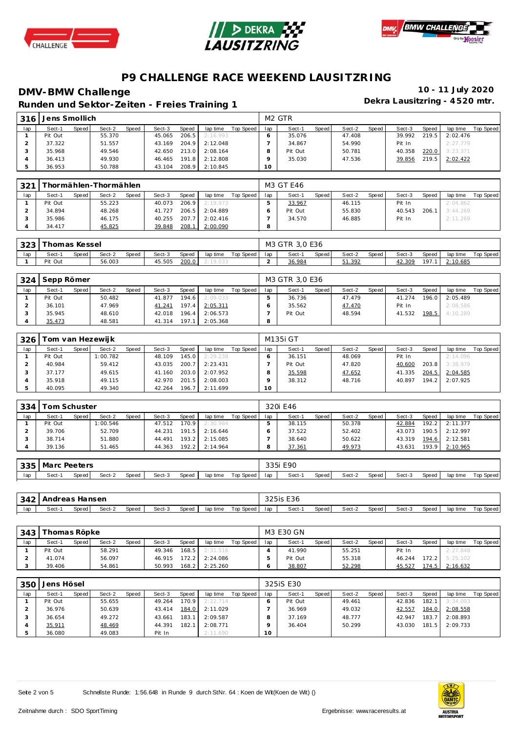





**Dekra Lausitzring - 4 520 mtr. Runden und Sektor-Ze iten - Freies Training 1**

| 316 | Jens Smollich |       |        |       |        |       |          |           |     | M <sub>2</sub> GTR |       |        |         |        |       |          |           |
|-----|---------------|-------|--------|-------|--------|-------|----------|-----------|-----|--------------------|-------|--------|---------|--------|-------|----------|-----------|
| lap | Sect-1        | Speed | Sect-2 | Speed | Sect-3 | Speed | lap time | Top Speed | lap | Sect-1             | Speed | Sect-2 | Speed I | Sect-3 | Speed | lap time | Top Speed |
|     | Pit Out       |       | 55.370 |       | 45.065 | 206.5 | 2:16.993 |           |     | 35.076             |       | 47.408 |         | 39.992 | 219.5 | 2:02.476 |           |
|     | 37.322        |       | 51.557 |       | 43.169 | 204.9 | 2:12.048 |           |     | 34.867             |       | 54.990 |         | Pit In |       | 2:27.779 |           |
|     | 35.968        |       | 49.546 |       | 42.650 | 213.0 | 2:08.164 |           |     | Pit Out            |       | 50.781 |         | 40.358 | 220.0 | 3:23.371 |           |
|     | 36.413        |       | 49.930 |       | 46.465 | 191.8 | 2:12.808 |           |     | 35.030             |       | 47.536 |         | 39.856 | 219.5 | 2:02.422 |           |
|     | 36.953        |       | 50.788 |       | 43.104 | 208.9 | 2:10.845 |           | 10  |                    |       |        |         |        |       |          |           |
|     |               |       |        |       |        |       |          |           |     |                    |       |        |         |        |       |          |           |

| 321 |         |       | fhormählen-Thormählen, |       |        |       |          |           |     | M3 GT E46 |       |        |       |        |       |          |           |
|-----|---------|-------|------------------------|-------|--------|-------|----------|-----------|-----|-----------|-------|--------|-------|--------|-------|----------|-----------|
| lap | Sect-1  | Speed | Sect-2                 | Speed | Sect-3 | Speed | lap time | Top Speed | lap | Sect-1    | Speed | Sect-2 | Speed | Sect-3 | Speed | lap time | Top Speed |
|     | Pit Out |       | 55.223                 |       | 40.073 | 206.9 | 2:19.973 |           |     | 33.967    |       | 46.115 |       | Pit In |       | 2:04.862 |           |
|     | 34.894  |       | 48.268                 |       | 41.727 | 206.5 | 2:04.889 |           |     | Pit Out   |       | 55.830 |       | 40.543 | 206.1 | 3:44.269 |           |
|     | 35.986  |       | 46.175                 |       | 40.255 | 207.7 | 2:02.416 |           |     | 34.570    |       | 46.885 |       | Pit In |       | 2:11.269 |           |
|     | 34.417  |       | 45.825                 |       | 39.848 | 208.1 | 2:00.090 |           |     |           |       |        |       |        |       |          |           |

| 1323 | Thomas Kessel |       |        |       |        |       |          |                 | M3 GTR 3.0 E36 |       |        |       |        |       |          |           |
|------|---------------|-------|--------|-------|--------|-------|----------|-----------------|----------------|-------|--------|-------|--------|-------|----------|-----------|
| lap  | Sect-1        | Speed | Sect-2 | Speed | Sect-3 | Speed | lap time | Top Speed   lap | Sect-1         | Speed | Sect-2 | Speed | Sect-3 | Speed | lap time | Top Speed |
|      | Pit Out       |       | 56.003 |       | 45.505 | 200.0 | 2:19.033 |                 | 36.984         |       | 51.392 |       | 42.309 | 197.  | 2:10.685 |           |

| 324 | Sepp Römer |       |        |       |        |       |          |           |     | M3 GTR 3.0 E36 |       |        |       |        |       |          |           |
|-----|------------|-------|--------|-------|--------|-------|----------|-----------|-----|----------------|-------|--------|-------|--------|-------|----------|-----------|
| lap | Sect-1     | Speed | Sect-2 | Speed | Sect-3 | Speed | lap time | Top Speed | lap | Sect-1         | Speed | Sect-2 | Speed | Sect-3 | Speed | lap time | Top Speed |
|     | Pit Out    |       | 50.482 |       | 41.877 | 194.6 | 2:09.033 |           |     | 36.736         |       | 47.479 |       | 41.274 | 196.0 | 2:05.489 |           |
|     | 36.101     |       | 47.969 |       | 41.241 | 197.4 | 2:05.311 |           |     | 35.562         |       | 47.470 |       | Pit In |       | 2:08.586 |           |
|     | 35.945     |       | 48.610 |       | 42.018 | 196.4 | 2:06.573 |           |     | Pit Out        |       | 48.594 |       | 41.532 | 198.5 | 4:10.289 |           |
|     | 35.473     |       | 48.581 |       | 41.314 | 197.1 | 2:05.368 |           | 8   |                |       |        |       |        |       |          |           |

| 326 |         |       | <sup>-</sup> om van Hezewijk |       |        |       |          |           |     | M135i GT |       |        |       |        |       |          |           |
|-----|---------|-------|------------------------------|-------|--------|-------|----------|-----------|-----|----------|-------|--------|-------|--------|-------|----------|-----------|
| lap | Sect-1  | Speed | Sect-2                       | Speed | Sect-3 | Speed | lap time | Top Speed | lap | Sect-1   | Speed | Sect-2 | Speed | Sect-3 | Speed | lap time | Top Speed |
|     | Pit Out |       | 1:00.782                     |       | 48.109 | 145.0 | 2:29.238 |           |     | 36.151   |       | 48.069 |       | Pit In |       | 2:14.096 |           |
|     | 40.984  |       | 59.412                       |       | 43.035 | 200.7 | 2:23.431 |           |     | Pit Out  |       | 47.820 |       | 40.600 | 203.8 | 3:38.979 |           |
|     | 37.177  |       | 49.615                       |       | 41.160 | 203.0 | 2:07.952 |           |     | 35.598   |       | 47.652 |       | 41.335 | 204.5 | 2:04.585 |           |
|     | 35.918  |       | 49.115                       |       | 42.970 | 201.5 | 2:08.003 |           |     | 38.312   |       | 48.716 |       | 40.897 | 194.2 | 2:07.925 |           |
|     | 40.095  |       | 49.340                       |       | 42.264 | 196.7 | 2:11.699 |           | 10  |          |       |        |       |        |       |          |           |

| 334 | Гот Schuster |       |          |       |        |       |          |           |     | 320i E46 |       |        |       |        |       |          |           |
|-----|--------------|-------|----------|-------|--------|-------|----------|-----------|-----|----------|-------|--------|-------|--------|-------|----------|-----------|
| lap | Sect-1       | Speed | Sect-2   | Speed | Sect-3 | Speed | lap time | Top Speed | lap | Sect-1   | Speed | Sect-2 | Speed | Sect-3 | Speed | lap time | Top Speed |
|     | Pit Out      |       | : 00.546 |       | 47.512 | 170.9 | 2:30.984 |           |     | 38.115   |       | 50.378 |       | 42.884 | 192.2 | 2:11.377 |           |
|     | 39.706       |       | 52.709   |       | 44.231 | 191.5 | 2:16.646 |           |     | 37.522   |       | 52.402 |       | 43.073 | 190.5 | 2:12.997 |           |
|     | 38.714       |       | 51.880   |       | 44.491 | 193.2 | 2:15.085 |           |     | 38.640   |       | 50.622 |       | 43.319 | 194.6 | 2:12.581 |           |
|     | 39.136       |       | 51.465   |       | 44.363 | 192.2 | 2:14.964 |           |     | 37.361   |       | 49.973 |       | 43.631 | 193.9 | 2:10.965 |           |

| 335 | . Marci | - Peeter س<br>$\sim$ $\sim$ $\sim$ |        |       |        |       |          |           | חמר<br>$5 - 1$<br>. | E90   |       |        |       |        |       |          |           |
|-----|---------|------------------------------------|--------|-------|--------|-------|----------|-----------|---------------------|-------|-------|--------|-------|--------|-------|----------|-----------|
| lap | Sect-1  | Speed                              | Sect-2 | Speed | Sect-3 | Speed | lap time | Top Speed | lan                 | Sect- | Speed | Sect-2 | Speed | Sect-3 | Speed | lap time | Top Speed |

|     | 342   Andreas Hansen |         |        |       |        |       |          |           |     | 325is E36 |       |        |       |        |       |          |           |
|-----|----------------------|---------|--------|-------|--------|-------|----------|-----------|-----|-----------|-------|--------|-------|--------|-------|----------|-----------|
| lap | Sect-′               | Speed I | Sect-2 | Speed | Sect-3 | Speed | lap time | Top Speed | lap | Sect-1    | Speed | Sect-2 | Speed | Sect-3 | Speed | lap time | Top Speed |

| 343 | homas Röpke |       |        |       |        |       |          |           |     | M3 E30 GN |       |        |       |        |              |                  |           |
|-----|-------------|-------|--------|-------|--------|-------|----------|-----------|-----|-----------|-------|--------|-------|--------|--------------|------------------|-----------|
| lap | Sect-1      | Speed | Sect-2 | Speed | Sect-3 | Speed | lap time | Top Speed | lap | Sect-1    | Speed | Sect-2 | Speed | Sect-3 | <b>Speed</b> | lap time         | Top Speed |
|     | Pit Out     |       | 58.291 |       | 49.346 | 168.5 | 2:31.516 |           |     | 41.990    |       | 55.251 |       | Pit In |              | 2:27.848         |           |
|     | 41.074      |       | 56.097 |       | 46.915 | 172.2 | 2:24.086 |           |     | Pit Out   |       | 55.318 |       | 46.244 |              | $172.2$ 5:25.102 |           |
|     | 39.406      |       | 54.861 |       | 50.993 | 168.2 | 2:25.260 |           |     | 38.807    |       | 52.298 |       | 45.527 | 174.5        | 2:16.632         |           |

| 350 | Jens Hösel |       |        |              |        |                    |          |           |     | 325iS E30 |       |        |       |        |       |                |           |
|-----|------------|-------|--------|--------------|--------|--------------------|----------|-----------|-----|-----------|-------|--------|-------|--------|-------|----------------|-----------|
| lap | Sect-1     | Speed | Sect-2 | <b>Speed</b> | Sect-3 | <b>Speed</b>       | lap time | Top Speed | lap | Sect-1    | Speed | Sect-2 | Speed | Sect-3 | Speed | lap time       | Top Speed |
|     | Pit Out    |       | 55.655 |              | 49.264 | 170.9 <sub>1</sub> | 2:22.714 |           |     | Pit Out   |       | 49.461 |       | 42.836 | 182.1 | 3:34.093       |           |
|     | 36.976     |       | 50.639 |              | 43.414 | 184.0              | 2:11.029 |           |     | 36.969    |       | 49.032 |       | 42.557 | 184.0 | 2:08.558       |           |
|     | 36.654     |       | 49.272 |              | 43.661 | 183.1              | 2:09.587 |           |     | 37.169    |       | 48.777 |       | 42.947 | 183.7 | 2:08.893       |           |
|     | 35.911     |       | 48.469 |              | 44.391 | 182.1              | 2:08.771 |           |     | 36.404    |       | 50.299 |       | 43.030 |       | 181.5 2:09.733 |           |
|     | 36.080     |       | 49.083 |              | Pit In |                    | 2:11.690 |           | 10  |           |       |        |       |        |       |                |           |

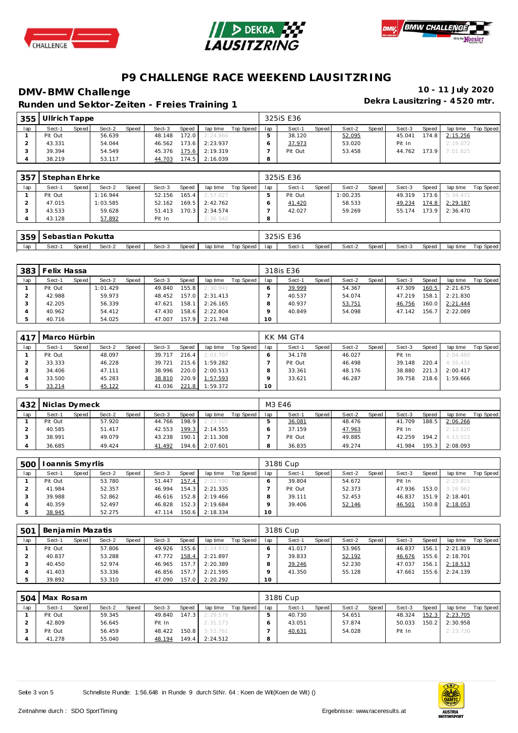





**Dekra Lausitzring - 4 520 mtr. Runden und Sektor-Ze iten - Freies Training 1**

| 355 | il Ullrich Tappe |       |        |              |        |       |          |           |     | 325 iS E36 |       |        |       |        |       |          |           |
|-----|------------------|-------|--------|--------------|--------|-------|----------|-----------|-----|------------|-------|--------|-------|--------|-------|----------|-----------|
| lap | Sect-1           | Speed | Sect-2 | <b>Speed</b> | Sect-3 | Speed | lap time | Top Speed | lap | Sect-1     | Speed | Sect-2 | Speed | Sect-3 | Speed | lap time | Top Speed |
|     | Pit Out          |       | 56.639 |              | 48.148 | 172.0 | 2:24.866 |           |     | 38.120     |       | 52.095 |       | 45.041 | 174.8 | 2:15.256 |           |
|     | 43.331           |       | 54.044 |              | 46.562 | 173.6 | 2:23.937 |           |     | 37.973     |       | 53.020 |       | Pit In |       | 2:19.072 |           |
|     | 39.394           |       | 54.549 |              | 45.376 | 175.6 | 2:19.319 |           |     | Pit Out    |       | 53.458 |       | 44.762 | 173.9 | 7:01.625 |           |
|     | 38.219           |       | 53.117 |              | 44.703 | 174.5 | 2:16.039 |           |     |            |       |        |       |        |       |          |           |

| 357 | Stephan Ehrke |       |          |       |        |        |          |           |     | 325iS E36 |       |          |       |        |       |          |                  |
|-----|---------------|-------|----------|-------|--------|--------|----------|-----------|-----|-----------|-------|----------|-------|--------|-------|----------|------------------|
| lap | Sect-1        | Speed | Sect-2   | Speed | Sect-3 | Speed  | lap time | Top Speed | lap | Sect-1    | Speed | Sect-2   | Speed | Sect-3 | Speed | lap time | <b>Top Speed</b> |
|     | Pit Out       |       | 1:16.944 |       | 52.156 | 165.41 | 2:57.027 |           |     | Pit Out   |       | 1:00.235 |       | 49.319 | 173.6 | 5:34.471 |                  |
|     | 47.015        |       | 1:03.585 |       | 52.162 | 169.5  | 2:42.762 |           |     | 41.420    |       | 58.533   |       | 49.234 | 174.8 | 2:29.187 |                  |
|     | 43.533        |       | 59.628   |       | 51.413 | 170.3  | 2:34.574 |           |     | 42.027    |       | 59.269   |       | 55.174 | 173.9 | 2:36.470 |                  |
|     | 43.128        |       | 57.892   |       | Pit In |        | 2:36.542 |           |     |           |       |          |       |        |       |          |                  |
|     |               |       |          |       |        |        |          |           |     |           |       |          |       |        |       |          |                  |

|     | 359   Sebastian Pokutta |       |        |       |        |       |          |                 | 325 SE E36 |       |        |         |        |         |          |           |
|-----|-------------------------|-------|--------|-------|--------|-------|----------|-----------------|------------|-------|--------|---------|--------|---------|----------|-----------|
| lap | Sect-1                  | Speed | Sect-2 | Speed | Sect-3 | Speed | lap time | Top Speed   lap | Sect-1     | Speed | Sect-2 | Speed I | Sect-3 | Speed I | lap time | Top Speed |

| 383 | Felix Hassa |       |         |       |        |       |                |           |         | 318is E36 |       |        |       |        |       |          |           |
|-----|-------------|-------|---------|-------|--------|-------|----------------|-----------|---------|-----------|-------|--------|-------|--------|-------|----------|-----------|
| lap | Sect-1      | Speed | Sect-2  | Speed | Sect-3 | Speed | lap time       | Top Speed | lap     | Sect-1    | Speed | Sect-2 | Speed | Sect-3 | Speed | lap time | Top Speed |
|     | Pit Out     |       | :01.429 |       | 49.840 | 155.8 | 2:30.941       |           |         | 39.999    |       | 54.367 |       | 47.309 | 160.5 | 2:21.675 |           |
|     | 42.988      |       | 59.973  |       | 48.452 | 157.0 | 2:31.413       |           |         | 40.537    |       | 54.074 |       | 47.219 | 158.1 | 2:21.830 |           |
|     | 42.205      |       | 56.339  |       | 47.621 | 158.1 | 2:26.165       |           | $\circ$ | 40.937    |       | 53.751 |       | 46.756 | 160.0 | 2:21.444 |           |
|     | 40.962      |       | 54.412  |       | 47.430 | 158.6 | 2:22.804       |           |         | 40.849    |       | 54.098 |       | 47.142 | 156.7 | 2:22.089 |           |
|     | 40.716      |       | 54.025  |       | 47.007 |       | 157.9 2:21.748 |           | 10      |           |       |        |       |        |       |          |           |

| 417 | Marco Hürbin |       |        |       |        |       |          |           |                 | KK M4 GT4 |       |        |       |        |       |          |           |
|-----|--------------|-------|--------|-------|--------|-------|----------|-----------|-----------------|-----------|-------|--------|-------|--------|-------|----------|-----------|
| lap | Sect-1       | Speed | Sect-2 | Speed | Sect-3 | Speed | lap time | Top Speed | lap             | Sect-1    | Speed | Sect-2 | Speed | Sect-3 | Speed | lap time | Top Speed |
|     | Pit Out      |       | 48.097 |       | 39.717 | 216.4 | 2:03.707 |           |                 | 34.178    |       | 46.027 |       | Pit In |       | 2:04.460 |           |
|     | 33.333       |       | 46.228 |       | 39.721 | 215.6 | 1:59.282 |           |                 | Pit Out   |       | 46.498 |       | 39.148 | 220.4 | 4:35.431 |           |
|     | 34.406       |       | 47.111 |       | 38.996 | 220.0 | 2:00.513 |           |                 | 33.361    |       | 48.176 |       | 38,880 | 221.3 | 2:00.417 |           |
|     | 33.500       |       | 45.283 |       | 38.810 | 220.9 | 1:57.593 |           |                 | 33.621    |       | 46.287 |       | 39.758 | 218.6 | 1:59.666 |           |
|     | 33.214       |       | 45.122 |       | 41.036 | 221.8 | 1:59.372 |           | 10 <sup>1</sup> |           |       |        |       |        |       |          |           |

| 432 | Niclas Dymeck |       |        |       |        |        |          |           |     | M3 E46  |       |        |       |        |              |          |           |
|-----|---------------|-------|--------|-------|--------|--------|----------|-----------|-----|---------|-------|--------|-------|--------|--------------|----------|-----------|
| lap | Sect-1        | Speed | Sect-2 | Speed | Sect-3 | Speed  | lap time | Top Speed | lap | Sect-1  | Speed | Sect-2 | Speed | Sect-3 | <b>Speed</b> | lap time | Top Speed |
|     | Pit Out       |       | 57.920 |       | 44.766 | 198.9  | 2:23.505 |           |     | 36.081  |       | 48.476 |       | 41.709 | 188.5        | 2:06.266 |           |
|     | 40.585        |       | 51.417 |       | 42.553 | 199.3  | 2:14.555 |           |     | 37.159  |       | 47.963 |       | Pit In |              | 2:13.520 |           |
|     | 38.991        |       | 49.079 |       | 43.238 | 190.1  | 2:11.308 |           |     | Pit Out |       | 49.885 |       | 42.259 | 194.2        | 4:13.015 |           |
|     | 36.685        |       | 49.424 |       | 41.492 | 194.61 | 2:07.601 |           |     | 36.835  |       | 49.274 |       | 41.984 | 195.3        | 2:08.093 |           |

| 500 | Ioannis Smyrlis |       |        |       |        |       |          |           |     | 318ti Cup |       |        |       |        |              |                  |           |
|-----|-----------------|-------|--------|-------|--------|-------|----------|-----------|-----|-----------|-------|--------|-------|--------|--------------|------------------|-----------|
| lap | Sect-1          | Speed | Sect-2 | Speed | Sect-3 | Speed | lap time | Top Speed | lap | Sect-1    | Speed | Sect-2 | Speed | Sect-3 | <b>Speed</b> | lap time         | Top Speed |
|     | Pit Out         |       | 53.780 |       | 51.447 | 157.4 | 2:22.590 |           |     | 39.804    |       | 54.672 |       | Pit In |              | 2:23.815         |           |
|     | 41.984          |       | 52.357 |       | 46.994 | 154.3 | 2:21.335 |           |     | Pit Out   |       | 52.373 |       | 47.936 |              | $153.0$ 3:26.962 |           |
|     | 39.988          |       | 52.862 |       | 46.616 | 152.8 | 2:19.466 |           |     | 39.111    |       | 52.453 |       | 46.837 |              | 151.9 2:18.401   |           |
|     | 40.359          |       | 52.497 |       | 46.828 | 152.3 | 2:19.684 |           |     | 39.406    |       | 52.146 |       | 46.501 | 150.8        | 2:18.053         |           |
|     | 38.945          |       | 52.275 |       | 47.114 | 150.6 | 2:18.334 |           | 10  |           |       |        |       |        |              |                  |           |

| 50 <sup>1</sup> | Beniamin Mazatis |         |        |       |        |       |          |           |     | 318ti Cup |       |        |       |        |       |                |           |
|-----------------|------------------|---------|--------|-------|--------|-------|----------|-----------|-----|-----------|-------|--------|-------|--------|-------|----------------|-----------|
| lap             | Sect-1           | Speed I | Sect-2 | Speed | Sect-3 | Speed | lap time | Top Speed | lap | Sect-1    | Speed | Sect-2 | Speed | Sect-3 | Speed | lap time       | Top Speed |
|                 | Pit Out          |         | 57.806 |       | 49.926 | 155.6 | 2:24.972 |           |     | 41.017    |       | 53.965 |       | 46.837 | 156.1 | 2:21.819       |           |
|                 | 40.837           |         | 53.288 |       | 47.772 | 158.4 | 2:21.897 |           |     | 39.833    |       | 52.192 |       | 46.676 |       | 155.6 2:18.701 |           |
|                 | 40.450           |         | 52.974 |       | 46.965 | 157.7 | 2:20.389 |           |     | 39.246    |       | 52.230 |       | 47.037 | 156.1 | 2:18.513       |           |
|                 | 41.403           |         | 53.336 |       | 46.856 | 157.7 | 2:21.595 |           |     | 41.350    |       | 55.128 |       | 47.661 |       | 155.6 2:24.139 |           |
|                 | 39.892           |         | 53.310 |       | 47.090 | 157.0 | 2:20.292 |           | 10  |           |       |        |       |        |       |                |           |

| 504 | Max Rosam |         |        |       |        |       |          |           |     | 318ti Cup |       |        |       |        |       |          |           |
|-----|-----------|---------|--------|-------|--------|-------|----------|-----------|-----|-----------|-------|--------|-------|--------|-------|----------|-----------|
| lap | Sect-1    | Speed I | Sect-2 | Speed | Sect-3 | Speed | lap time | Top Speed | lap | Sect-1    | Speed | Sect-2 | Speed | Sect-3 | Speed | lap time | Top Speed |
|     | Pit Out   |         | 59.345 |       | 49.840 | 147.3 | 2:29.576 |           |     | 40.730    |       | 54.651 |       | 48.324 | 152.3 | 2:23.705 |           |
|     | 42.809    |         | 56.645 |       | Pit In |       | 2:31.173 |           |     | 43.051    |       | 57.874 |       | 50.033 | 150.2 | 2:30.958 |           |
|     | Pit Out   |         | 56.459 |       | 48.422 | 150.8 | 3:52.761 |           |     | 40.631    |       | 54.028 |       | Pit In |       | 2:23.730 |           |
|     | 41.278    |         | 55.040 |       | 48.194 | 149.4 | 2:24.512 |           | 8   |           |       |        |       |        |       |          |           |

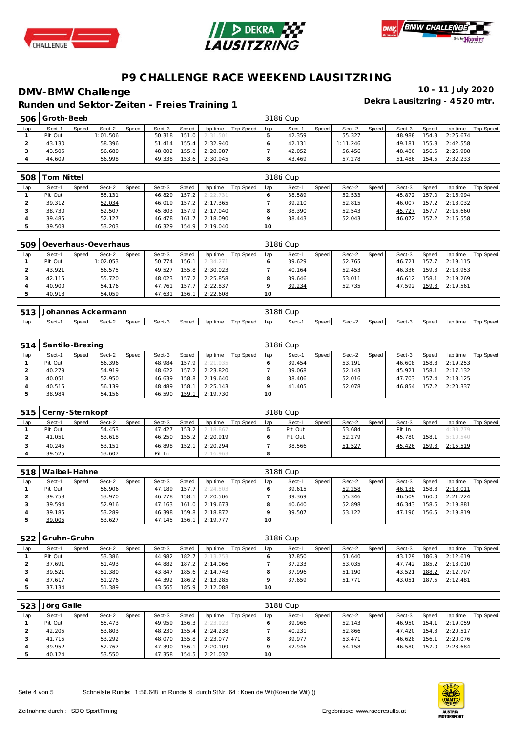





**Dekra Lausitzring - 4 520 mtr. Runden und Sektor-Ze iten - Freies Training 1**

| 506 | Groth-Beeb |       |          |              |        |       |          |           |     | 318ti Cup |       |          |       |        |                    |          |           |
|-----|------------|-------|----------|--------------|--------|-------|----------|-----------|-----|-----------|-------|----------|-------|--------|--------------------|----------|-----------|
| lap | Sect-1     | Speed | Sect-2   | <b>Speed</b> | Sect-3 | Speed | lap time | Top Speed | lap | Sect-1    | Speed | Sect-2   | Speed | Sect-3 | Speed              | lap time | Top Speed |
|     | Pit Out    |       | 1:01.506 |              | 50.318 | 151.0 | 2:31.501 |           |     | 42.359    |       | 55.327   |       | 48.988 | 154.3              | 2:26.674 |           |
|     | 43.130     |       | 58.396   |              | 51.414 | 155.4 | 2:32.940 |           |     | 42.131    |       | 1:11.246 |       | 49.181 | 155.8              | 2:42.558 |           |
|     | 43.505     |       | 56.680   |              | 48.802 | 155.8 | 2:28.987 |           |     | 42.052    |       | 56.456   |       | 48.480 | 156.5              | 2:26.988 |           |
|     | 44.609     |       | 56.998   |              | 49.338 | 153.6 | 2:30.945 |           |     | 43.469    |       | 57.278   |       | 51.486 | 154.5 <sub>1</sub> | 2:32.233 |           |

| 508 | om Nittel |       |        |              |        |        |          |           |     | 318ti Cup |       |        |       |        |       |          |           |
|-----|-----------|-------|--------|--------------|--------|--------|----------|-----------|-----|-----------|-------|--------|-------|--------|-------|----------|-----------|
| lap | Sect-1    | Speed | Sect-2 | <b>Speed</b> | Sect-3 | Speed  | lap time | Top Speed | lap | Sect-1    | Speed | Sect-2 | Speed | Sect-3 | Speed | lap time | Top Speed |
|     | Pit Out   |       | 55.131 |              | 46.829 | 157.21 | 2:22.731 |           |     | 38.589    |       | 52.533 |       | 45.872 | 157.0 | 2:16.994 |           |
|     | 39.312    |       | 52.034 |              | 46.019 | 157.2  | 2:17.365 |           |     | 39.210    |       | 52.815 |       | 46.007 | 157.2 | 2:18.032 |           |
|     | 38.730    |       | 52.507 |              | 45.803 | 157.9  | 2:17.040 |           |     | 38.390    |       | 52.543 |       | 45.727 | 157.7 | 2:16.660 |           |
|     | 39.485    |       | 52.127 |              | 46.478 | 161.7  | 2:18.090 |           |     | 38.443    |       | 52.043 |       | 46.072 | 157.2 | 2:16.558 |           |
|     | 39.508    |       | 53.203 |              | 46.329 | 154.9  | 2:19.040 |           | 10  |           |       |        |       |        |       |          |           |

| 509 |         |       | Oeverhaus-Oeverhaus |       |        |       |          |           |     | 318ti Cup |       |        |       |        |       |          |           |
|-----|---------|-------|---------------------|-------|--------|-------|----------|-----------|-----|-----------|-------|--------|-------|--------|-------|----------|-----------|
| lap | Sect-1  | Speed | Sect-2              | Speed | Sect-3 | Speed | lap time | Top Speed | lap | Sect-1    | Speed | Sect-2 | Speed | Sect-3 | Speed | lap time | Top Speed |
|     | Pit Out |       | 1:02.053            |       | 50.774 | 156.1 | 2:34.271 |           |     | 39.629    |       | 52.765 |       | 46.721 | 157.7 | 2:19.115 |           |
|     | 43.921  |       | 56.575              |       | 49.527 | 155.8 | 2:30.023 |           |     | 40.164    |       | 52.453 |       | 46.336 | 159.3 | 2:18.953 |           |
|     | 42.115  |       | 55.720              |       | 48.023 | 157.2 | 2:25.858 |           | o   | 39.646    |       | 53.011 |       | 46.612 | 158.1 | 2:19.269 |           |
|     | 40.900  |       | 54.176              |       | 47.761 | 157.7 | 2:22.837 |           |     | 39.234    |       | 52.735 |       | 47.592 | 159.3 | 2:19.561 |           |
|     | 40.918  |       | 54.059              |       | 47.631 | 156.1 | 2:22.608 |           | 10  |           |       |        |       |        |       |          |           |

| .512 | Johannes Ackermann                                                             |  |  |  |  |  |  |  |  | 318ti Cup |       |        |       |        |       |          |           |
|------|--------------------------------------------------------------------------------|--|--|--|--|--|--|--|--|-----------|-------|--------|-------|--------|-------|----------|-----------|
| lap  | Top Speed<br>Speed<br>Speed<br>Sect-3<br>Sect-2<br>lap time<br>Speed<br>Sect-1 |  |  |  |  |  |  |  |  | Sect-1    | Speed | Sect-2 | Speed | Sect-3 | Speed | lap time | Top Speed |

| 514 | Santilo-Brezing |       |        |       |        |       |          |           |     | 318ti Cup |       |        |       |        |       |                |           |
|-----|-----------------|-------|--------|-------|--------|-------|----------|-----------|-----|-----------|-------|--------|-------|--------|-------|----------------|-----------|
| lap | Sect-1          | Speed | Sect-2 | Speed | Sect-3 | Speed | lap time | Top Speed | lap | Sect-1    | Speed | Sect-2 | Speed | Sect-3 | Speed | lap time       | Top Speed |
|     | Pit Out         |       | 56.396 |       | 48.984 | 157.9 | 2:21.935 |           |     | 39.454    |       | 53.191 |       | 46.608 |       | 158.8 2:19.253 |           |
|     | 40.279          |       | 54.919 |       | 48.622 | 157.2 | 2:23.820 |           |     | 39.068    |       | 52.143 |       | 45.921 | 158.1 | 2:17.132       |           |
|     | 40.051          |       | 52.950 |       | 46.639 | 158.8 | 2:19.640 |           |     | 38.406    |       | 52.016 |       | 47.703 |       | 157.4 2:18.125 |           |
|     | 40.515          |       | 56.139 |       | 48.489 | 158.1 | 2:25.143 |           |     | 41.405    |       | 52.078 |       | 46.854 |       | 157.2 2:20.337 |           |
|     | 38.984          |       | 54.156 |       | 46.590 | 159.1 | 2:19.730 |           | 10  |           |       |        |       |        |       |                |           |

| 515 | Cerny-Sternkopf |       |        |              |        |       |          |           |     | 318ti Cup |       |        |       |        |       |          |           |
|-----|-----------------|-------|--------|--------------|--------|-------|----------|-----------|-----|-----------|-------|--------|-------|--------|-------|----------|-----------|
| lap | Sect-1          | Speed | Sect-2 | <b>Speed</b> | Sect-3 | Speed | lap time | Top Speed | lap | Sect-1    | Speed | Sect-2 | Speed | Sect-3 | Speed | lap time | Top Speed |
|     | Pit Out         |       | 54.453 |              | 47.427 | 153.2 | 2:18.867 |           |     | Pit Out   |       | 53.684 |       | Pit In |       | 4:33.779 |           |
|     | 41.051          |       | 53.618 |              | 46.250 | 155.2 | 2:20.919 |           |     | Pit Out   |       | 52.279 |       | 45.780 | 158.1 | 5:10.540 |           |
|     | 40.245          |       | 53.151 |              | 46.898 | 152.1 | 2:20.294 |           |     | 38.566    |       | 51.527 |       | 45.426 | 159.3 | 2:15.519 |           |
|     | 39.525          |       | 53.607 |              | Pit In |       | 2:16.963 |           | 8   |           |       |        |       |        |       |          |           |

| 518 | Waibel-Hahne |         |        |              |        |       |          |           |     | 318ti Cup |       |        |       |        |       |                |           |
|-----|--------------|---------|--------|--------------|--------|-------|----------|-----------|-----|-----------|-------|--------|-------|--------|-------|----------------|-----------|
| lap | Sect-1       | Speed I | Sect-2 | <b>Speed</b> | Sect-3 | Speed | lap time | Top Speed | lap | Sect-1    | Speed | Sect-2 | Speed | Sect-3 | Speed | lap time       | Top Speed |
|     | Pit Out      |         | 56.906 |              | 47.189 | 157.7 | 2:24.503 |           |     | 39.615    |       | 52.258 |       | 46.138 | 158.8 | 2:18.011       |           |
|     | 39.758       |         | 53.970 |              | 46.778 | 158.1 | 2:20.506 |           |     | 39.369    |       | 55.346 |       | 46.509 |       | 160.0 2:21.224 |           |
|     | 39.594       |         | 52.916 |              | 47.163 | 161.0 | 2:19.673 |           |     | 40.640    |       | 52.898 |       | 46.343 | 158.6 | 2:19.881       |           |
|     | 39.185       |         | 53.289 |              | 46.398 | 159.8 | 2:18.872 |           |     | 39.507    |       | 53.122 |       | 47.190 |       | 156.5 2:19.819 |           |
|     | 39.005       |         | 53.627 |              | 47.145 | 156.1 | 2:19.777 |           | 10  |           |       |        |       |        |       |                |           |

|     | 522 Gruhn-Gruhn |       |        |       |        |       |          |           |     | 318ti Cup |       |        |       |        |       |          |           |
|-----|-----------------|-------|--------|-------|--------|-------|----------|-----------|-----|-----------|-------|--------|-------|--------|-------|----------|-----------|
| lap | Sect-1          | Speed | Sect-2 | Speed | Sect-3 | Speed | lap time | Top Speed | lap | Sect-1    | Speed | Sect-2 | Speed | Sect-3 | Speed | lap time | Top Speed |
|     | Pit Out         |       | 53.386 |       | 44.982 | 182.7 | 2:13.753 |           |     | 37.850    |       | 51.640 |       | 43.129 | 186.9 | 2:12.619 |           |
|     | 37.691          |       | 51.493 |       | 44.882 | 187.2 | 2:14.066 |           |     | 37.233    |       | 53.035 |       | 47.742 | 185.2 | 2:18.010 |           |
|     | 39.521          |       | 51.380 |       | 43.847 | 185.6 | 2:14.748 |           |     | 37.996    |       | 51.190 |       | 43.521 | 188.2 | 2:12.707 |           |
|     | 37.617          |       | 51.276 |       | 44.392 | 186.2 | 2:13.285 |           |     | 37.659    |       | 51.771 |       | 43.051 | 187.5 | 2:12.481 |           |
|     | 37.134          |       | 51.389 |       | 43.565 | 185.9 | 2:12.088 |           | 10  |           |       |        |       |        |       |          |           |

| 523 | Jörg Galle |       |        |       |        |       |          |           |     | 318ti Cup |       |        |       |        |       |                |           |  |  |
|-----|------------|-------|--------|-------|--------|-------|----------|-----------|-----|-----------|-------|--------|-------|--------|-------|----------------|-----------|--|--|
| lap | Sect-1     | Speed | Sect-2 | Speed | Sect-3 | Speed | lap time | Top Speed | lap | Sect-1    | Speed | Sect-2 | Speed | Sect-3 | Speed | lap time       | Top Speed |  |  |
|     | Pit Out    |       | 55.473 |       | 49.959 | 156.3 | 2:23.923 |           |     | 39.966    |       | 52.143 |       | 46.950 | 154.1 | 2:19.059       |           |  |  |
|     | 42.205     |       | 53.803 |       | 48.230 | 155.4 | 2:24.238 |           |     | 40.231    |       | 52.866 |       | 47.420 |       | 154.3 2:20.517 |           |  |  |
|     | 41.715     |       | 53.292 |       | 48.070 | 155.8 | 2:23.077 |           |     | 39.977    |       | 53.471 |       | 46.628 | 156.1 | 2:20.076       |           |  |  |
|     | 39.952     |       | 52.767 |       | 47.390 | 156.1 | 2:20.109 |           |     | 42.946    |       | 54.158 |       | 46.580 |       | 157.0 2:23.684 |           |  |  |
|     | 40.124     |       | 53.550 |       | 47.358 | 154.5 | 2:21.032 |           | 10  |           |       |        |       |        |       |                |           |  |  |